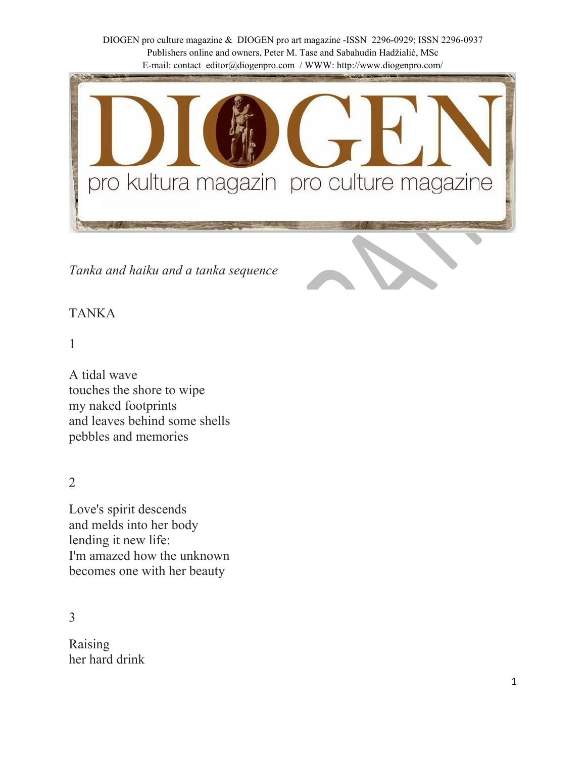

*Tanka and haiku and a tanka sequence*

# TANKA

## 1

A tidal wave touches the shore to wipe my naked footprints and leaves behind some shells pebbles and memories

2

Love's spirit descends and melds into her body lending it new life: I'm amazed how the unknown becomes one with her beauty

3

Raising her hard drink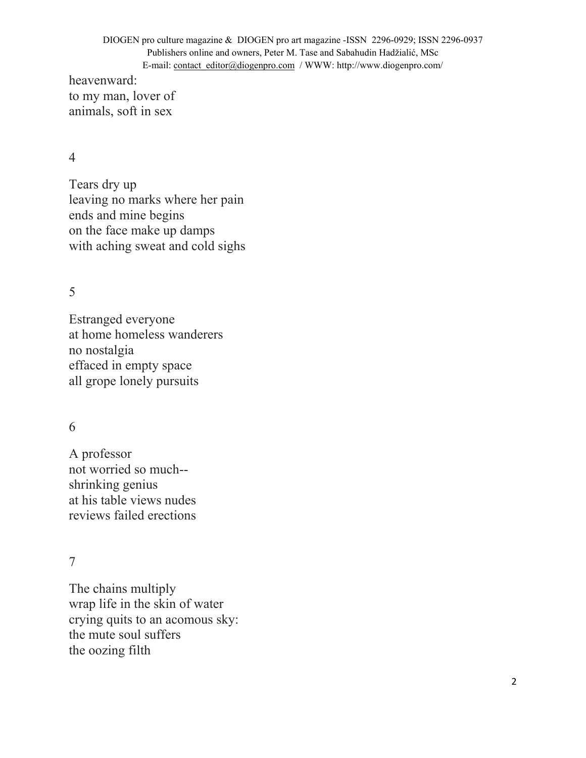heavenward: to my man, lover of animals, soft in sex

#### 4

Tears dry up leaving no marks where her pain ends and mine begins on the face make up damps with aching sweat and cold sighs

#### 5

Estranged everyone at home homeless wanderers no nostalgia effaced in empty space all grope lonely pursuits

### 6

A professor not worried so much- shrinking genius at his table views nudes reviews failed erections

#### 7

The chains multiply wrap life in the skin of water crying quits to an acomous sky: the mute soul suffers the oozing filth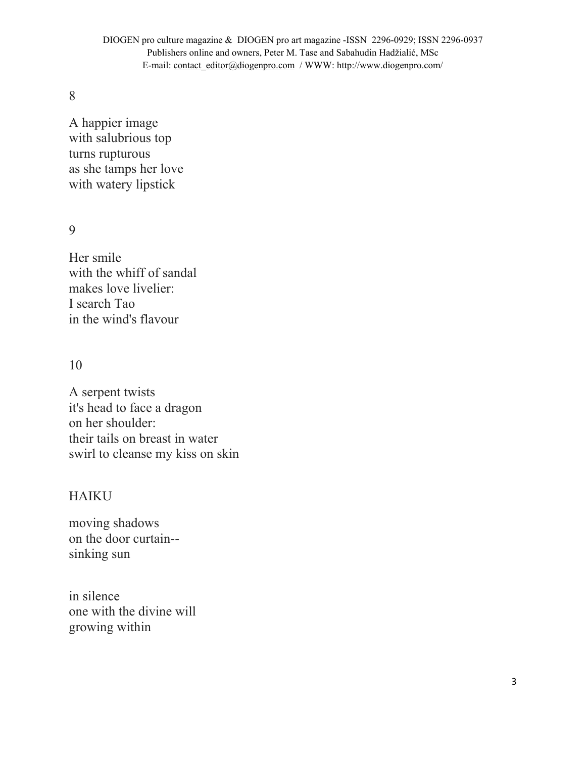8

A happier image with salubrious top turns rupturous as she tamps her love with watery lipstick

9

Her smile with the whiff of sandal makes love livelier: I search Tao in the wind's flavour

### 10

A serpent twists it's head to face a dragon on her shoulder: their tails on breast in water swirl to cleanse my kiss on skin

### HAIKU

moving shadows on the door curtain- sinking sun

in silence one with the divine will growing within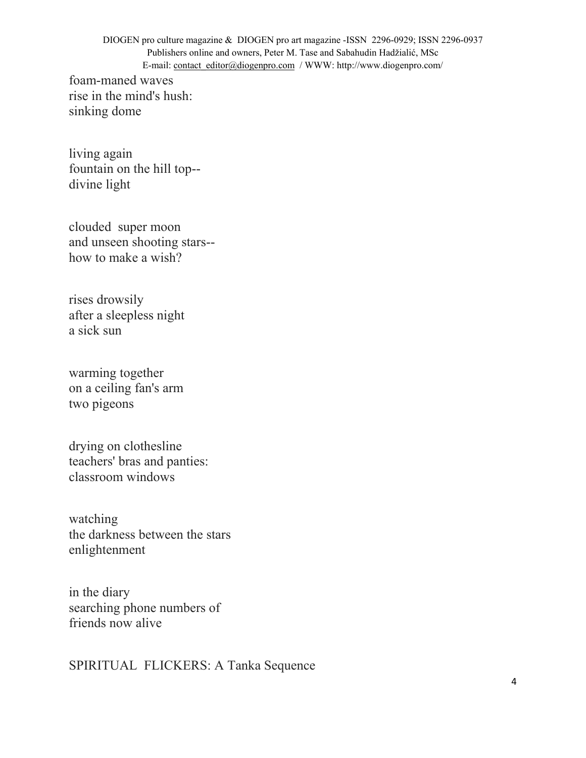foam-maned waves rise in the mind's hush: sinking dome

living again fountain on the hill top- divine light

clouded super moon and unseen shooting stars- how to make a wish?

rises drowsily after a sleepless night a sick sun

warming together on a ceiling fan's arm two pigeons

drying on clothesline teachers' bras and panties: classroom windows

watching the darkness between the stars enlightenment

in the diary searching phone numbers of friends now alive

SPIRITUAL FLICKERS: A Tanka Sequence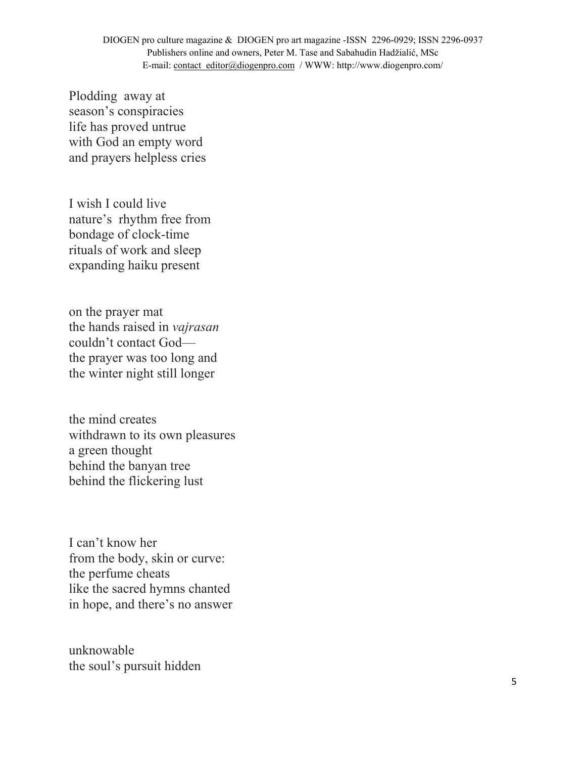Plodding away at season's conspiracies life has proved untrue with God an empty word and prayers helpless cries

I wish I could live nature's rhythm free from bondage of clock-time rituals of work and sleep expanding haiku present

on the prayer mat the hands raised in *vajrasan* couldn't contact God the prayer was too long and the winter night still longer

the mind creates withdrawn to its own pleasures a green thought behind the banyan tree behind the flickering lust

I can't know her from the body, skin or curve: the perfume cheats like the sacred hymns chanted in hope, and there's no answer

unknowable the soul's pursuit hidden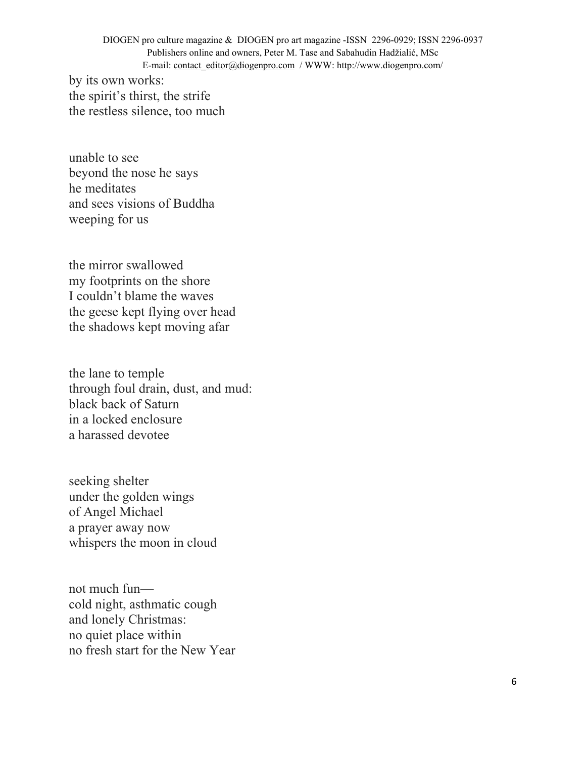by its own works: the spirit's thirst, the strife the restless silence, too much

unable to see beyond the nose he says he meditates and sees visions of Buddha weeping for us

the mirror swallowed my footprints on the shore I couldn't blame the waves the geese kept flying over head the shadows kept moving afar

the lane to temple through foul drain, dust, and mud: black back of Saturn in a locked enclosure a harassed devotee

seeking shelter under the golden wings of Angel Michael a prayer away now whispers the moon in cloud

not much fun cold night, asthmatic cough and lonely Christmas: no quiet place within no fresh start for the New Year